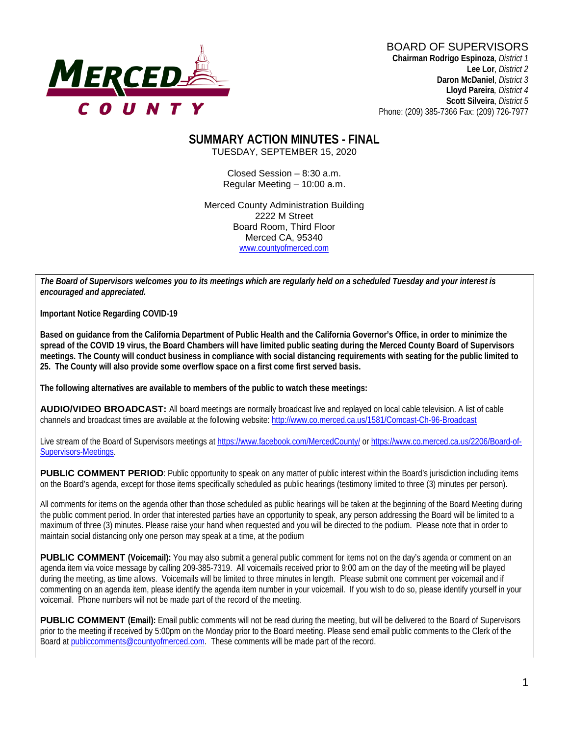

#### BOARD OF SUPERVISORS **Chairman Rodrigo Espinoza**, *District 1*

**Lee Lor**, *District 2*  **Daron McDaniel**, *District 3* **Lloyd Pareira***, District 4*  **Scott Silveira**, *District 5* Phone: (209) 385-7366 Fax: (209) 726-7977

#### **SUMMARY ACTION MINUTES - FINAL** TUESDAY, SEPTEMBER 15, 2020

Closed Session – 8:30 a.m. Regular Meeting – 10:00 a.m.

Merced County Administration Building 2222 M Street Board Room, Third Floor Merced CA, 95340 www.countyofmerced.com

*The Board of Supervisors welcomes you to its meetings which are regularly held on a scheduled Tuesday and your interest is encouraged and appreciated.*

**Important Notice Regarding COVID-19**

**Based on guidance from the California Department of Public Health and the California Governor's Office, in order to minimize the spread of the COVID 19 virus, the Board Chambers will have limited public seating during the Merced County Board of Supervisors meetings. The County will conduct business in compliance with social distancing requirements with seating for the public limited to 25. The County will also provide some overflow space on a first come first served basis.**

**The following alternatives are available to members of the public to watch these meetings:**

**AUDIO/VIDEO BROADCAST:** All board meetings are normally broadcast live and replayed on local cable television. A list of cable channels and broadcast times are available at the following website[: http://www.co.merced.ca.us/1581/Comcast-Ch-96-Broadcast](http://www.co.merced.ca.us/1581/Comcast-Ch-96-Broadcast)

Live stream of the Board of Supervisors meetings at<https://www.facebook.com/MercedCounty/> o[r https://www.co.merced.ca.us/2206/Board-of-](https://www.co.merced.ca.us/2206/Board-of-Supervisors-Meetings)[Supervisors-Meetings.](https://www.co.merced.ca.us/2206/Board-of-Supervisors-Meetings)

**PUBLIC COMMENT PERIOD:** Public opportunity to speak on any matter of public interest within the Board's jurisdiction including items on the Board's agenda, except for those items specifically scheduled as public hearings (testimony limited to three (3) minutes per person).

All comments for items on the agenda other than those scheduled as public hearings will be taken at the beginning of the Board Meeting during the public comment period. In order that interested parties have an opportunity to speak, any person addressing the Board will be limited to a maximum of three (3) minutes. Please raise your hand when requested and you will be directed to the podium. Please note that in order to maintain social distancing only one person may speak at a time, at the podium

**PUBLIC COMMENT (Voicemail):** You may also submit a general public comment for items not on the day's agenda or comment on an agenda item via voice message by calling 209-385-7319. All voicemails received prior to 9:00 am on the day of the meeting will be played during the meeting, as time allows. Voicemails will be limited to three minutes in length. Please submit one comment per voicemail and if commenting on an agenda item, please identify the agenda item number in your voicemail. If you wish to do so, please identify yourself in your voicemail. Phone numbers will not be made part of the record of the meeting.

**PUBLIC COMMENT (Email):** Email public comments will not be read during the meeting, but will be delivered to the Board of Supervisors prior to the meeting if received by 5:00pm on the Monday prior to the Board meeting. Please send email public comments to the Clerk of the Board a[t publiccomments@countyofmerced.com.](mailto:publiccomments@countyofmerced.com) These comments will be made part of the record.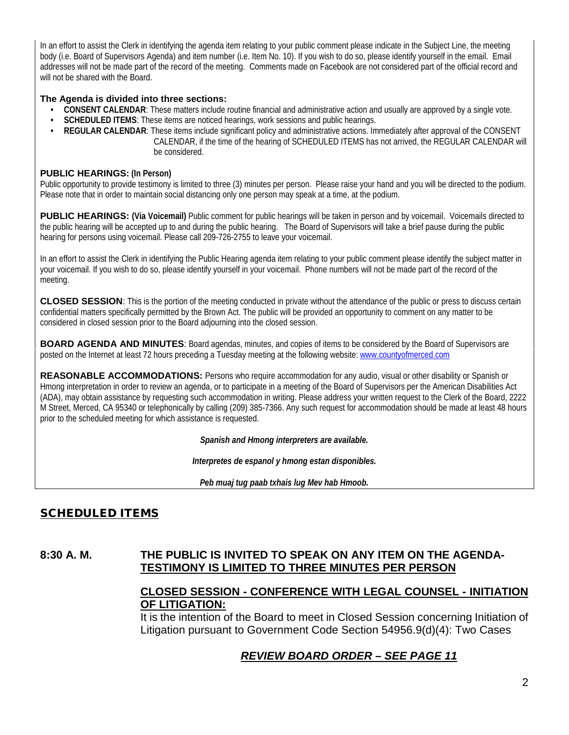In an effort to assist the Clerk in identifying the agenda item relating to your public comment please indicate in the Subject Line, the meeting body (i.e. Board of Supervisors Agenda) and item number (i.e. Item No. 10). If you wish to do so, please identify yourself in the email. Email addresses will not be made part of the record of the meeting. Comments made on Facebook are not considered part of the official record and will not be shared with the Board.

#### **The Agenda is divided into three sections:**

- **CONSENT CALENDAR**: These matters include routine financial and administrative action and usually are approved by a single vote.
- **SCHEDULED ITEMS**: These items are noticed hearings, work sessions and public hearings.
- **REGULAR CALENDAR**: These items include significant policy and administrative actions. Immediately after approval of the CONSENT CALENDAR, if the time of the hearing of SCHEDULED ITEMS has not arrived, the REGULAR CALENDAR will be considered.

#### **PUBLIC HEARINGS: (In Person)**

Public opportunity to provide testimony is limited to three (3) minutes per person. Please raise your hand and you will be directed to the podium. Please note that in order to maintain social distancing only one person may speak at a time, at the podium.

**PUBLIC HEARINGS:** (Via Voicemail) Public comment for public hearings will be taken in person and by voicemail. Voicemails directed to the public hearing will be accepted up to and during the public hearing. The Board of Supervisors will take a brief pause during the public hearing for persons using voicemail. Please call 209-726-2755 to leave your voicemail.

In an effort to assist the Clerk in identifying the Public Hearing agenda item relating to your public comment please identify the subject matter in your voicemail. If you wish to do so, please identify yourself in your voicemail. Phone numbers will not be made part of the record of the meeting.

**CLOSED SESSION**: This is the portion of the meeting conducted in private without the attendance of the public or press to discuss certain confidential matters specifically permitted by the Brown Act. The public will be provided an opportunity to comment on any matter to be considered in closed session prior to the Board adjourning into the closed session.

**BOARD AGENDA AND MINUTES:** Board agendas, minutes, and copies of items to be considered by the Board of Supervisors are posted on the Internet at least 72 hours preceding a Tuesday meeting at the following website: [www.countyofmerced.com](http://www.countyofmerced.com/) 

**REASONABLE ACCOMMODATIONS:** Persons who require accommodation for any audio, visual or other disability or Spanish or Hmong interpretation in order to review an agenda, or to participate in a meeting of the Board of Supervisors per the American Disabilities Act (ADA), may obtain assistance by requesting such accommodation in writing. Please address your written request to the Clerk of the Board, 2222 M Street, Merced, CA 95340 or telephonically by calling (209) 385-7366. Any such request for accommodation should be made at least 48 hours prior to the scheduled meeting for which assistance is requested.

*Spanish and Hmong interpreters are available.*

*Interpretes de espanol y hmong estan disponibles.*

*Peb muaj tug paab txhais lug Mev hab Hmoob.* 

# SCHEDULED ITEMS

#### **8:30 A. M. THE PUBLIC IS INVITED TO SPEAK ON ANY ITEM ON THE AGENDA-TESTIMONY IS LIMITED TO THREE MINUTES PER PERSON**

### **CLOSED SESSION - CONFERENCE WITH LEGAL COUNSEL - INITIATION OF LITIGATION:**

It is the intention of the Board to meet in Closed Session concerning Initiation of Litigation pursuant to Government Code Section 54956.9(d)(4): Two Cases

### *REVIEW BOARD ORDER – SEE PAGE 11*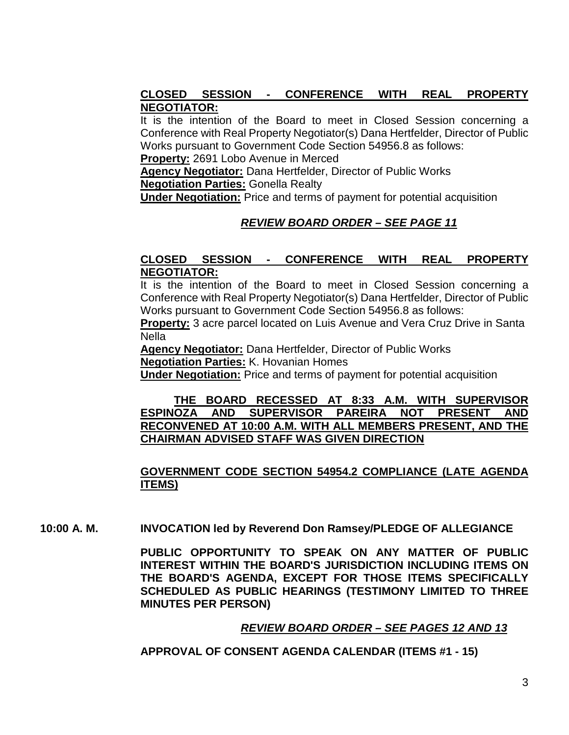### **CLOSED SESSION - CONFERENCE WITH REAL PROPERTY NEGOTIATOR:**

It is the intention of the Board to meet in Closed Session concerning a Conference with Real Property Negotiator(s) Dana Hertfelder, Director of Public Works pursuant to Government Code Section 54956.8 as follows:

**Property:** 2691 Lobo Avenue in Merced

**Agency Negotiator:** Dana Hertfelder, Director of Public Works

**Negotiation Parties:** Gonella Realty

**Under Negotiation:** Price and terms of payment for potential acquisition

### *REVIEW BOARD ORDER – SEE PAGE 11*

### **CLOSED SESSION - CONFERENCE WITH REAL PROPERTY NEGOTIATOR:**

It is the intention of the Board to meet in Closed Session concerning a Conference with Real Property Negotiator(s) Dana Hertfelder, Director of Public Works pursuant to Government Code Section 54956.8 as follows:

**Property:** 3 acre parcel located on Luis Avenue and Vera Cruz Drive in Santa **Nella** 

**Agency Negotiator:** Dana Hertfelder, Director of Public Works **Negotiation Parties:** K. Hovanian Homes

**Under Negotiation:** Price and terms of payment for potential acquisition

#### **THE BOARD RECESSED AT 8:33 A.M. WITH SUPERVISOR ESPINOZA AND SUPERVISOR PAREIRA NOT PRESENT AND RECONVENED AT 10:00 A.M. WITH ALL MEMBERS PRESENT, AND THE CHAIRMAN ADVISED STAFF WAS GIVEN DIRECTION**

### **GOVERNMENT CODE SECTION 54954.2 COMPLIANCE (LATE AGENDA ITEMS)**

**10:00 A. M. INVOCATION led by Reverend Don Ramsey/PLEDGE OF ALLEGIANCE**

**PUBLIC OPPORTUNITY TO SPEAK ON ANY MATTER OF PUBLIC INTEREST WITHIN THE BOARD'S JURISDICTION INCLUDING ITEMS ON THE BOARD'S AGENDA, EXCEPT FOR THOSE ITEMS SPECIFICALLY SCHEDULED AS PUBLIC HEARINGS (TESTIMONY LIMITED TO THREE MINUTES PER PERSON)**

### *REVIEW BOARD ORDER – SEE PAGES 12 AND 13*

**APPROVAL OF CONSENT AGENDA CALENDAR (ITEMS #1 - 15)**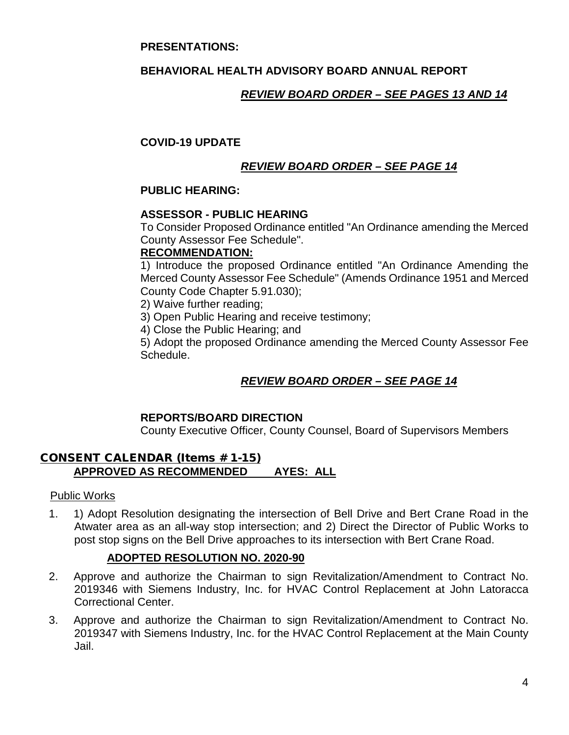#### **PRESENTATIONS:**

### **BEHAVIORAL HEALTH ADVISORY BOARD ANNUAL REPORT**

### *REVIEW BOARD ORDER – SEE PAGES 13 AND 14*

#### **COVID-19 UPDATE**

### *REVIEW BOARD ORDER – SEE PAGE 14*

#### **PUBLIC HEARING:**

#### **ASSESSOR - PUBLIC HEARING**

To Consider Proposed Ordinance entitled "An Ordinance amending the Merced County Assessor Fee Schedule".

#### **RECOMMENDATION:**

1) Introduce the proposed Ordinance entitled "An Ordinance Amending the Merced County Assessor Fee Schedule" (Amends Ordinance 1951 and Merced County Code Chapter 5.91.030);

2) Waive further reading;

3) Open Public Hearing and receive testimony;

4) Close the Public Hearing; and

5) Adopt the proposed Ordinance amending the Merced County Assessor Fee Schedule.

### *REVIEW BOARD ORDER – SEE PAGE 14*

### **REPORTS/BOARD DIRECTION**

County Executive Officer, County Counsel, Board of Supervisors Members

### CONSENT CALENDAR (Items # 1-15) **APPROVED AS RECOMMENDED AYES: ALL**

#### Public Works

1. 1) Adopt Resolution designating the intersection of Bell Drive and Bert Crane Road in the Atwater area as an all-way stop intersection; and 2) Direct the Director of Public Works to post stop signs on the Bell Drive approaches to its intersection with Bert Crane Road.

#### **ADOPTED RESOLUTION NO. 2020-90**

- 2. Approve and authorize the Chairman to sign Revitalization/Amendment to Contract No. 2019346 with Siemens Industry, Inc. for HVAC Control Replacement at John Latoracca Correctional Center.
- 3. Approve and authorize the Chairman to sign Revitalization/Amendment to Contract No. 2019347 with Siemens Industry, Inc. for the HVAC Control Replacement at the Main County Jail.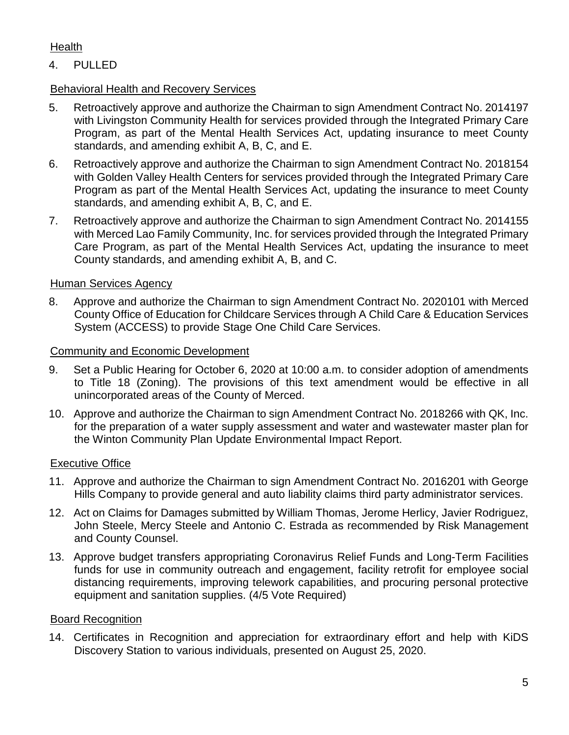### Health

# 4. PULLED

# Behavioral Health and Recovery Services

- 5. Retroactively approve and authorize the Chairman to sign Amendment Contract No. 2014197 with Livingston Community Health for services provided through the Integrated Primary Care Program, as part of the Mental Health Services Act, updating insurance to meet County standards, and amending exhibit A, B, C, and E.
- 6. Retroactively approve and authorize the Chairman to sign Amendment Contract No. 2018154 with Golden Valley Health Centers for services provided through the Integrated Primary Care Program as part of the Mental Health Services Act, updating the insurance to meet County standards, and amending exhibit A, B, C, and E.
- 7. Retroactively approve and authorize the Chairman to sign Amendment Contract No. 2014155 with Merced Lao Family Community, Inc. for services provided through the Integrated Primary Care Program, as part of the Mental Health Services Act, updating the insurance to meet County standards, and amending exhibit A, B, and C.

### Human Services Agency

8. Approve and authorize the Chairman to sign Amendment Contract No. 2020101 with Merced County Office of Education for Childcare Services through A Child Care & Education Services System (ACCESS) to provide Stage One Child Care Services.

### Community and Economic Development

- 9. Set a Public Hearing for October 6, 2020 at 10:00 a.m. to consider adoption of amendments to Title 18 (Zoning). The provisions of this text amendment would be effective in all unincorporated areas of the County of Merced.
- 10. Approve and authorize the Chairman to sign Amendment Contract No. 2018266 with QK, Inc. for the preparation of a water supply assessment and water and wastewater master plan for the Winton Community Plan Update Environmental Impact Report.

### Executive Office

- 11. Approve and authorize the Chairman to sign Amendment Contract No. 2016201 with George Hills Company to provide general and auto liability claims third party administrator services.
- 12. Act on Claims for Damages submitted by William Thomas, Jerome Herlicy, Javier Rodriguez, John Steele, Mercy Steele and Antonio C. Estrada as recommended by Risk Management and County Counsel.
- 13. Approve budget transfers appropriating Coronavirus Relief Funds and Long-Term Facilities funds for use in community outreach and engagement, facility retrofit for employee social distancing requirements, improving telework capabilities, and procuring personal protective equipment and sanitation supplies. (4/5 Vote Required)

### Board Recognition

14. Certificates in Recognition and appreciation for extraordinary effort and help with KiDS Discovery Station to various individuals, presented on August 25, 2020.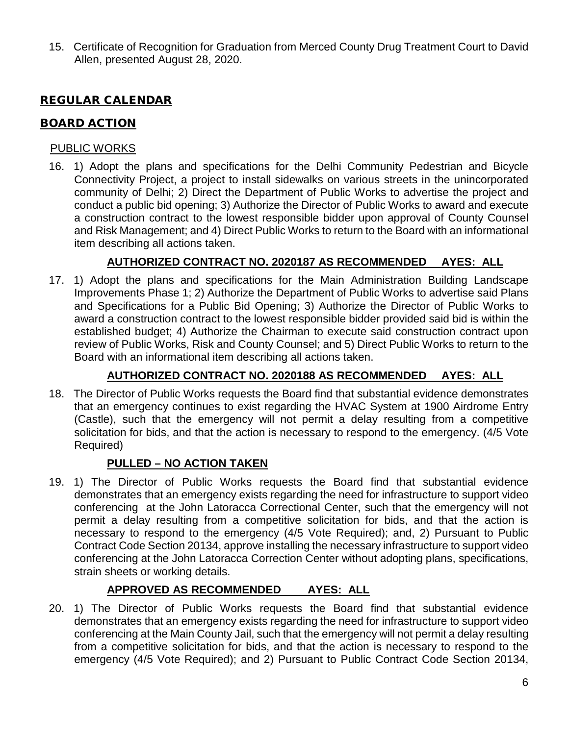15. Certificate of Recognition for Graduation from Merced County Drug Treatment Court to David Allen, presented August 28, 2020.

# REGULAR CALENDAR

### BOARD ACTION

### PUBLIC WORKS

16. 1) Adopt the plans and specifications for the Delhi Community Pedestrian and Bicycle Connectivity Project, a project to install sidewalks on various streets in the unincorporated community of Delhi; 2) Direct the Department of Public Works to advertise the project and conduct a public bid opening; 3) Authorize the Director of Public Works to award and execute a construction contract to the lowest responsible bidder upon approval of County Counsel and Risk Management; and 4) Direct Public Works to return to the Board with an informational item describing all actions taken.

# **AUTHORIZED CONTRACT NO. 2020187 AS RECOMMENDED AYES: ALL**

17. 1) Adopt the plans and specifications for the Main Administration Building Landscape Improvements Phase 1; 2) Authorize the Department of Public Works to advertise said Plans and Specifications for a Public Bid Opening; 3) Authorize the Director of Public Works to award a construction contract to the lowest responsible bidder provided said bid is within the established budget; 4) Authorize the Chairman to execute said construction contract upon review of Public Works, Risk and County Counsel; and 5) Direct Public Works to return to the Board with an informational item describing all actions taken.

### **AUTHORIZED CONTRACT NO. 2020188 AS RECOMMENDED AYES: ALL**

18. The Director of Public Works requests the Board find that substantial evidence demonstrates that an emergency continues to exist regarding the HVAC System at 1900 Airdrome Entry (Castle), such that the emergency will not permit a delay resulting from a competitive solicitation for bids, and that the action is necessary to respond to the emergency. (4/5 Vote Required)

### **PULLED – NO ACTION TAKEN**

19. 1) The Director of Public Works requests the Board find that substantial evidence demonstrates that an emergency exists regarding the need for infrastructure to support video conferencing at the John Latoracca Correctional Center, such that the emergency will not permit a delay resulting from a competitive solicitation for bids, and that the action is necessary to respond to the emergency (4/5 Vote Required); and, 2) Pursuant to Public Contract Code Section 20134, approve installing the necessary infrastructure to support video conferencing at the John Latoracca Correction Center without adopting plans, specifications, strain sheets or working details.

### **APPROVED AS RECOMMENDED AYES: ALL**

20. 1) The Director of Public Works requests the Board find that substantial evidence demonstrates that an emergency exists regarding the need for infrastructure to support video conferencing at the Main County Jail, such that the emergency will not permit a delay resulting from a competitive solicitation for bids, and that the action is necessary to respond to the emergency (4/5 Vote Required); and 2) Pursuant to Public Contract Code Section 20134,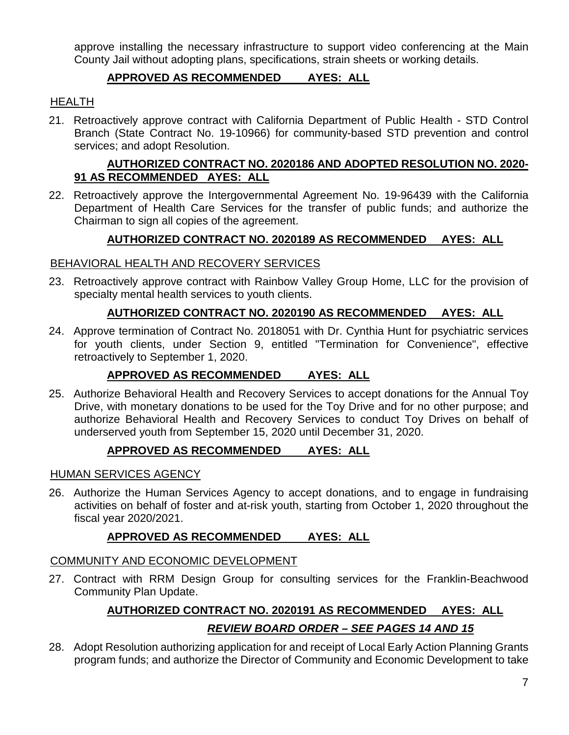approve installing the necessary infrastructure to support video conferencing at the Main County Jail without adopting plans, specifications, strain sheets or working details.

### **APPROVED AS RECOMMENDED AYES: ALL**

### **HEALTH**

21. Retroactively approve contract with California Department of Public Health - STD Control Branch (State Contract No. 19-10966) for community-based STD prevention and control services; and adopt Resolution.

### **AUTHORIZED CONTRACT NO. 2020186 AND ADOPTED RESOLUTION NO. 2020- 91 AS RECOMMENDED AYES: ALL**

22. Retroactively approve the Intergovernmental Agreement No. 19-96439 with the California Department of Health Care Services for the transfer of public funds; and authorize the Chairman to sign all copies of the agreement.

### **AUTHORIZED CONTRACT NO. 2020189 AS RECOMMENDED AYES: ALL**

### BEHAVIORAL HEALTH AND RECOVERY SERVICES

23. Retroactively approve contract with Rainbow Valley Group Home, LLC for the provision of specialty mental health services to youth clients.

### **AUTHORIZED CONTRACT NO. 2020190 AS RECOMMENDED AYES: ALL**

24. Approve termination of Contract No. 2018051 with Dr. Cynthia Hunt for psychiatric services for youth clients, under Section 9, entitled "Termination for Convenience", effective retroactively to September 1, 2020.

### **APPROVED AS RECOMMENDED AYES: ALL**

25. Authorize Behavioral Health and Recovery Services to accept donations for the Annual Toy Drive, with monetary donations to be used for the Toy Drive and for no other purpose; and authorize Behavioral Health and Recovery Services to conduct Toy Drives on behalf of underserved youth from September 15, 2020 until December 31, 2020.

### **APPROVED AS RECOMMENDED AYES: ALL**

### HUMAN SERVICES AGENCY

26. Authorize the Human Services Agency to accept donations, and to engage in fundraising activities on behalf of foster and at-risk youth, starting from October 1, 2020 throughout the fiscal year 2020/2021.

### **APPROVED AS RECOMMENDED AYES: ALL**

### COMMUNITY AND ECONOMIC DEVELOPMENT

27. Contract with RRM Design Group for consulting services for the Franklin-Beachwood Community Plan Update.

# **AUTHORIZED CONTRACT NO. 2020191 AS RECOMMENDED AYES: ALL** *REVIEW BOARD ORDER – SEE PAGES 14 AND 15*

28. Adopt Resolution authorizing application for and receipt of Local Early Action Planning Grants program funds; and authorize the Director of Community and Economic Development to take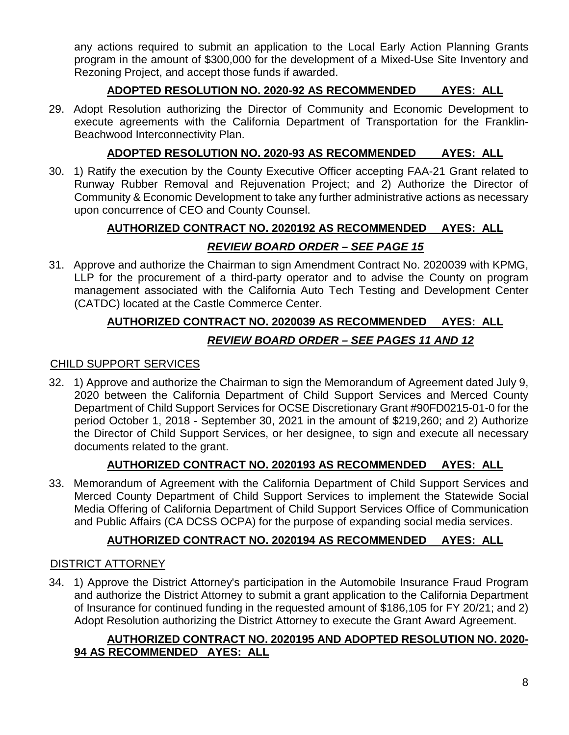any actions required to submit an application to the Local Early Action Planning Grants program in the amount of \$300,000 for the development of a Mixed-Use Site Inventory and Rezoning Project, and accept those funds if awarded.

# **ADOPTED RESOLUTION NO. 2020-92 AS RECOMMENDED AYES: ALL**

29. Adopt Resolution authorizing the Director of Community and Economic Development to execute agreements with the California Department of Transportation for the Franklin-Beachwood Interconnectivity Plan.

# **ADOPTED RESOLUTION NO. 2020-93 AS RECOMMENDED AYES: ALL**

30. 1) Ratify the execution by the County Executive Officer accepting FAA-21 Grant related to Runway Rubber Removal and Rejuvenation Project; and 2) Authorize the Director of Community & Economic Development to take any further administrative actions as necessary upon concurrence of CEO and County Counsel.

# **AUTHORIZED CONTRACT NO. 2020192 AS RECOMMENDED AYES: ALL**

# *REVIEW BOARD ORDER – SEE PAGE 15*

31. Approve and authorize the Chairman to sign Amendment Contract No. 2020039 with KPMG, LLP for the procurement of a third-party operator and to advise the County on program management associated with the California Auto Tech Testing and Development Center (CATDC) located at the Castle Commerce Center.

# **AUTHORIZED CONTRACT NO. 2020039 AS RECOMMENDED AYES: ALL** *REVIEW BOARD ORDER – SEE PAGES 11 AND 12*

### CHILD SUPPORT SERVICES

32. 1) Approve and authorize the Chairman to sign the Memorandum of Agreement dated July 9, 2020 between the California Department of Child Support Services and Merced County Department of Child Support Services for OCSE Discretionary Grant #90FD0215-01-0 for the period October 1, 2018 - September 30, 2021 in the amount of \$219,260; and 2) Authorize the Director of Child Support Services, or her designee, to sign and execute all necessary documents related to the grant.

# **AUTHORIZED CONTRACT NO. 2020193 AS RECOMMENDED AYES: ALL**

33. Memorandum of Agreement with the California Department of Child Support Services and Merced County Department of Child Support Services to implement the Statewide Social Media Offering of California Department of Child Support Services Office of Communication and Public Affairs (CA DCSS OCPA) for the purpose of expanding social media services.

# **AUTHORIZED CONTRACT NO. 2020194 AS RECOMMENDED AYES: ALL**

### DISTRICT ATTORNEY

34. 1) Approve the District Attorney's participation in the Automobile Insurance Fraud Program and authorize the District Attorney to submit a grant application to the California Department of Insurance for continued funding in the requested amount of \$186,105 for FY 20/21; and 2) Adopt Resolution authorizing the District Attorney to execute the Grant Award Agreement.

### **AUTHORIZED CONTRACT NO. 2020195 AND ADOPTED RESOLUTION NO. 2020- 94 AS RECOMMENDED AYES: ALL**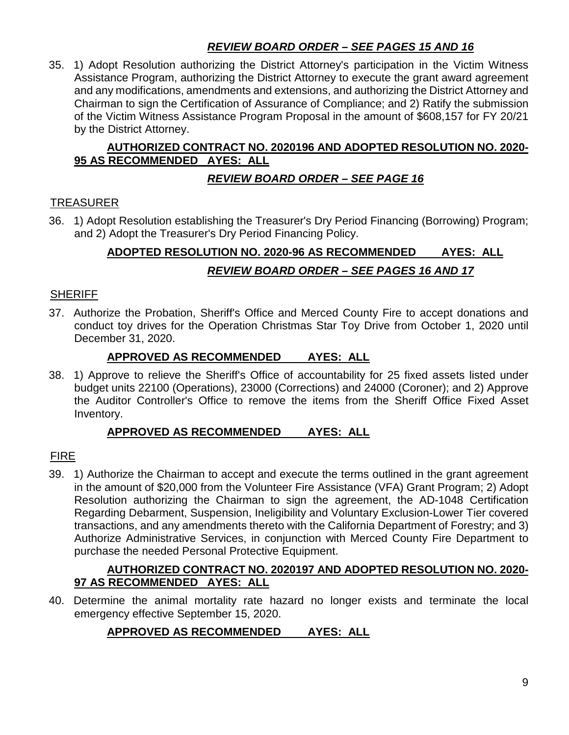# *REVIEW BOARD ORDER – SEE PAGES 15 AND 16*

35. 1) Adopt Resolution authorizing the District Attorney's participation in the Victim Witness Assistance Program, authorizing the District Attorney to execute the grant award agreement and any modifications, amendments and extensions, and authorizing the District Attorney and Chairman to sign the Certification of Assurance of Compliance; and 2) Ratify the submission of the Victim Witness Assistance Program Proposal in the amount of \$608,157 for FY 20/21 by the District Attorney.

### **AUTHORIZED CONTRACT NO. 2020196 AND ADOPTED RESOLUTION NO. 2020- 95 AS RECOMMENDED AYES: ALL**

### *REVIEW BOARD ORDER – SEE PAGE 16*

# TREASURER

36. 1) Adopt Resolution establishing the Treasurer's Dry Period Financing (Borrowing) Program; and 2) Adopt the Treasurer's Dry Period Financing Policy.

# **ADOPTED RESOLUTION NO. 2020-96 AS RECOMMENDED AYES: ALL** *REVIEW BOARD ORDER – SEE PAGES 16 AND 17*

### **SHERIFF**

37. Authorize the Probation, Sheriff's Office and Merced County Fire to accept donations and conduct toy drives for the Operation Christmas Star Toy Drive from October 1, 2020 until December 31, 2020.

### **APPROVED AS RECOMMENDED AYES: ALL**

38. 1) Approve to relieve the Sheriff's Office of accountability for 25 fixed assets listed under budget units 22100 (Operations), 23000 (Corrections) and 24000 (Coroner); and 2) Approve the Auditor Controller's Office to remove the items from the Sheriff Office Fixed Asset Inventory.

### **APPROVED AS RECOMMENDED AYES: ALL**

### FIRE

39. 1) Authorize the Chairman to accept and execute the terms outlined in the grant agreement in the amount of \$20,000 from the Volunteer Fire Assistance (VFA) Grant Program; 2) Adopt Resolution authorizing the Chairman to sign the agreement, the AD-1048 Certification Regarding Debarment, Suspension, Ineligibility and Voluntary Exclusion-Lower Tier covered transactions, and any amendments thereto with the California Department of Forestry; and 3) Authorize Administrative Services, in conjunction with Merced County Fire Department to purchase the needed Personal Protective Equipment.

### **AUTHORIZED CONTRACT NO. 2020197 AND ADOPTED RESOLUTION NO. 2020- 97 AS RECOMMENDED AYES: ALL**

40. Determine the animal mortality rate hazard no longer exists and terminate the local emergency effective September 15, 2020.

# **APPROVED AS RECOMMENDED AYES: ALL**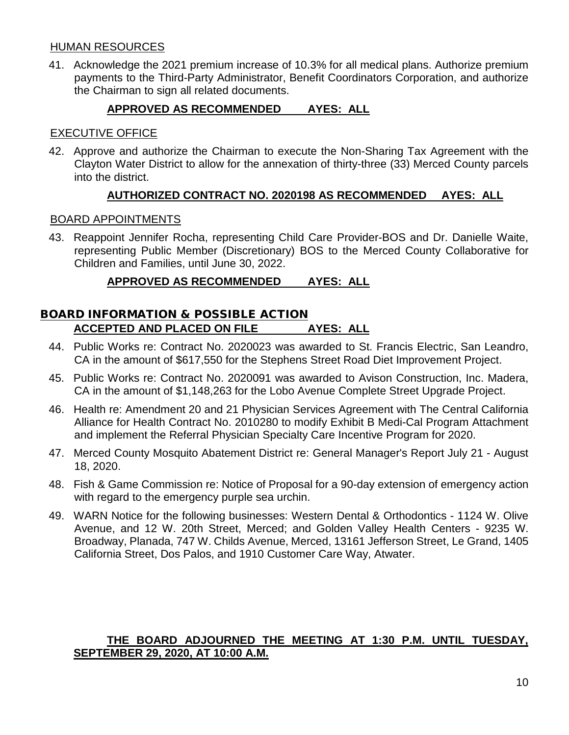#### HUMAN RESOURCES

41. Acknowledge the 2021 premium increase of 10.3% for all medical plans. Authorize premium payments to the Third-Party Administrator, Benefit Coordinators Corporation, and authorize the Chairman to sign all related documents.

### **APPROVED AS RECOMMENDED AYES: ALL**

### EXECUTIVE OFFICE

42. Approve and authorize the Chairman to execute the Non-Sharing Tax Agreement with the Clayton Water District to allow for the annexation of thirty-three (33) Merced County parcels into the district.

### **AUTHORIZED CONTRACT NO. 2020198 AS RECOMMENDED AYES: ALL**

#### BOARD APPOINTMENTS

43. Reappoint Jennifer Rocha, representing Child Care Provider-BOS and Dr. Danielle Waite, representing Public Member (Discretionary) BOS to the Merced County Collaborative for Children and Families, until June 30, 2022.

### **APPROVED AS RECOMMENDED AYES: ALL**

### BOARD INFORMATION & POSSIBLE ACTION **ACCEPTED AND PLACED ON FILE AYES: ALL**

- 44. Public Works re: Contract No. 2020023 was awarded to St. Francis Electric, San Leandro, CA in the amount of \$617,550 for the Stephens Street Road Diet Improvement Project.
- 45. Public Works re: Contract No. 2020091 was awarded to Avison Construction, Inc. Madera, CA in the amount of \$1,148,263 for the Lobo Avenue Complete Street Upgrade Project.
- 46. Health re: Amendment 20 and 21 Physician Services Agreement with The Central California Alliance for Health Contract No. 2010280 to modify Exhibit B Medi-Cal Program Attachment and implement the Referral Physician Specialty Care Incentive Program for 2020.
- 47. Merced County Mosquito Abatement District re: General Manager's Report July 21 August 18, 2020.
- 48. Fish & Game Commission re: Notice of Proposal for a 90-day extension of emergency action with regard to the emergency purple sea urchin.
- 49. WARN Notice for the following businesses: Western Dental & Orthodontics 1124 W. Olive Avenue, and 12 W. 20th Street, Merced; and Golden Valley Health Centers - 9235 W. Broadway, Planada, 747 W. Childs Avenue, Merced, 13161 Jefferson Street, Le Grand, 1405 California Street, Dos Palos, and 1910 Customer Care Way, Atwater.

### **THE BOARD ADJOURNED THE MEETING AT 1:30 P.M. UNTIL TUESDAY, SEPTEMBER 29, 2020, AT 10:00 A.M.**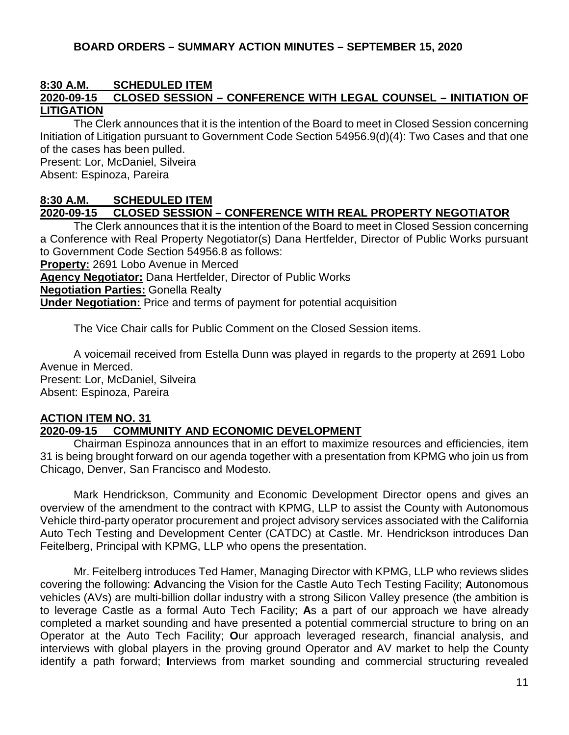#### **BOARD ORDERS – SUMMARY ACTION MINUTES – SEPTEMBER 15, 2020**

# **8:30 A.M. SCHEDULED ITEM**

### **2020-09-15 CLOSED SESSION – CONFERENCE WITH LEGAL COUNSEL – INITIATION OF LITIGATION**

The Clerk announces that it is the intention of the Board to meet in Closed Session concerning Initiation of Litigation pursuant to Government Code Section 54956.9(d)(4): Two Cases and that one of the cases has been pulled. Present: Lor, McDaniel, Silveira

Absent: Espinoza, Pareira

### **8:30 A.M. SCHEDULED ITEM**

### **2020-09-15 CLOSED SESSION – CONFERENCE WITH REAL PROPERTY NEGOTIATOR**

The Clerk announces that it is the intention of the Board to meet in Closed Session concerning a Conference with Real Property Negotiator(s) Dana Hertfelder, Director of Public Works pursuant to Government Code Section 54956.8 as follows:

**Property:** 2691 Lobo Avenue in Merced

**Agency Negotiator:** Dana Hertfelder, Director of Public Works

**Negotiation Parties:** Gonella Realty

**Under Negotiation:** Price and terms of payment for potential acquisition

The Vice Chair calls for Public Comment on the Closed Session items.

A voicemail received from Estella Dunn was played in regards to the property at 2691 Lobo Avenue in Merced. Present: Lor, McDaniel, Silveira Absent: Espinoza, Pareira

#### **ACTION ITEM NO. 31 2020-09-15 COMMUNITY AND ECONOMIC DEVELOPMENT**

Chairman Espinoza announces that in an effort to maximize resources and efficiencies, item 31 is being brought forward on our agenda together with a presentation from KPMG who join us from Chicago, Denver, San Francisco and Modesto.

Mark Hendrickson, Community and Economic Development Director opens and gives an overview of the amendment to the contract with KPMG, LLP to assist the County with Autonomous Vehicle third-party operator procurement and project advisory services associated with the California Auto Tech Testing and Development Center (CATDC) at Castle. Mr. Hendrickson introduces Dan Feitelberg, Principal with KPMG, LLP who opens the presentation.

Mr. Feitelberg introduces Ted Hamer, Managing Director with KPMG, LLP who reviews slides covering the following: **A**dvancing the Vision for the Castle Auto Tech Testing Facility; **A**utonomous vehicles (AVs) are multi-billion dollar industry with a strong Silicon Valley presence (the ambition is to leverage Castle as a formal Auto Tech Facility; **A**s a part of our approach we have already completed a market sounding and have presented a potential commercial structure to bring on an Operator at the Auto Tech Facility; **O**ur approach leveraged research, financial analysis, and interviews with global players in the proving ground Operator and AV market to help the County identify a path forward; **I**nterviews from market sounding and commercial structuring revealed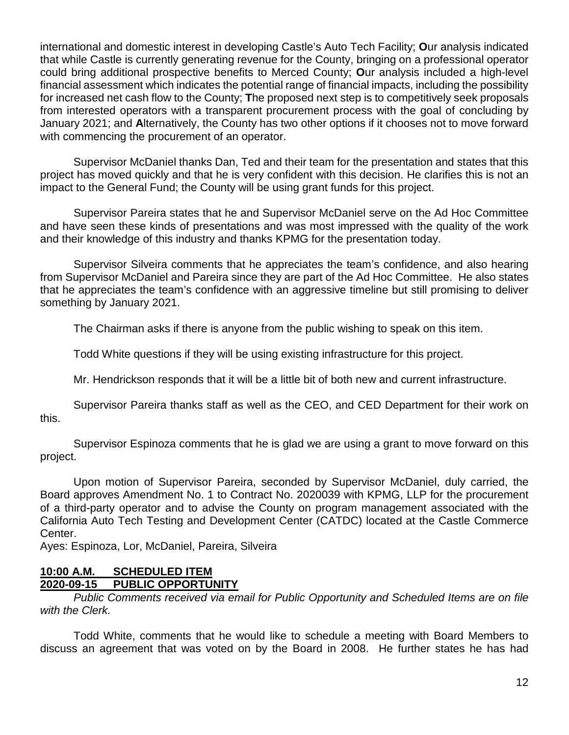international and domestic interest in developing Castle's Auto Tech Facility; **O**ur analysis indicated that while Castle is currently generating revenue for the County, bringing on a professional operator could bring additional prospective benefits to Merced County; **O**ur analysis included a high-level financial assessment which indicates the potential range of financial impacts, including the possibility for increased net cash flow to the County; **T**he proposed next step is to competitively seek proposals from interested operators with a transparent procurement process with the goal of concluding by January 2021; and **A**lternatively, the County has two other options if it chooses not to move forward with commencing the procurement of an operator.

Supervisor McDaniel thanks Dan, Ted and their team for the presentation and states that this project has moved quickly and that he is very confident with this decision. He clarifies this is not an impact to the General Fund; the County will be using grant funds for this project.

Supervisor Pareira states that he and Supervisor McDaniel serve on the Ad Hoc Committee and have seen these kinds of presentations and was most impressed with the quality of the work and their knowledge of this industry and thanks KPMG for the presentation today.

Supervisor Silveira comments that he appreciates the team's confidence, and also hearing from Supervisor McDaniel and Pareira since they are part of the Ad Hoc Committee. He also states that he appreciates the team's confidence with an aggressive timeline but still promising to deliver something by January 2021.

The Chairman asks if there is anyone from the public wishing to speak on this item.

Todd White questions if they will be using existing infrastructure for this project.

Mr. Hendrickson responds that it will be a little bit of both new and current infrastructure.

Supervisor Pareira thanks staff as well as the CEO, and CED Department for their work on this.

Supervisor Espinoza comments that he is glad we are using a grant to move forward on this project.

Upon motion of Supervisor Pareira, seconded by Supervisor McDaniel, duly carried, the Board approves Amendment No. 1 to Contract No. 2020039 with KPMG, LLP for the procurement of a third-party operator and to advise the County on program management associated with the California Auto Tech Testing and Development Center (CATDC) located at the Castle Commerce Center.

Ayes: Espinoza, Lor, McDaniel, Pareira, Silveira

### **10:00 A.M. SCHEDULED ITEM 2020-09-15 PUBLIC OPPORTUNITY**

*Public Comments received via email for Public Opportunity and Scheduled Items are on file with the Clerk.*

Todd White, comments that he would like to schedule a meeting with Board Members to discuss an agreement that was voted on by the Board in 2008. He further states he has had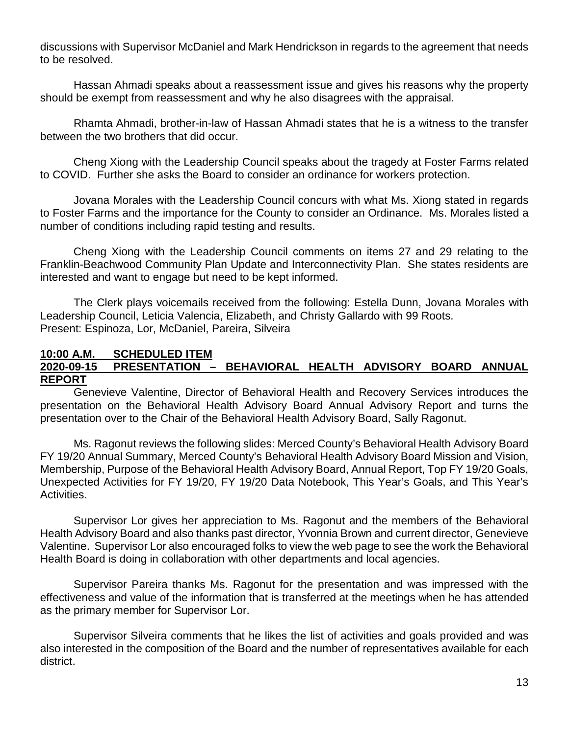discussions with Supervisor McDaniel and Mark Hendrickson in regards to the agreement that needs to be resolved.

Hassan Ahmadi speaks about a reassessment issue and gives his reasons why the property should be exempt from reassessment and why he also disagrees with the appraisal.

Rhamta Ahmadi, brother-in-law of Hassan Ahmadi states that he is a witness to the transfer between the two brothers that did occur.

Cheng Xiong with the Leadership Council speaks about the tragedy at Foster Farms related to COVID. Further she asks the Board to consider an ordinance for workers protection.

Jovana Morales with the Leadership Council concurs with what Ms. Xiong stated in regards to Foster Farms and the importance for the County to consider an Ordinance. Ms. Morales listed a number of conditions including rapid testing and results.

Cheng Xiong with the Leadership Council comments on items 27 and 29 relating to the Franklin-Beachwood Community Plan Update and Interconnectivity Plan. She states residents are interested and want to engage but need to be kept informed.

The Clerk plays voicemails received from the following: Estella Dunn, Jovana Morales with Leadership Council, Leticia Valencia, Elizabeth, and Christy Gallardo with 99 Roots. Present: Espinoza, Lor, McDaniel, Pareira, Silveira

### **10:00 A.M. SCHEDULED ITEM**

### **2020-09-15 PRESENTATION – BEHAVIORAL HEALTH ADVISORY BOARD ANNUAL REPORT**

Genevieve Valentine, Director of Behavioral Health and Recovery Services introduces the presentation on the Behavioral Health Advisory Board Annual Advisory Report and turns the presentation over to the Chair of the Behavioral Health Advisory Board, Sally Ragonut.

Ms. Ragonut reviews the following slides: Merced County's Behavioral Health Advisory Board FY 19/20 Annual Summary, Merced County's Behavioral Health Advisory Board Mission and Vision, Membership, Purpose of the Behavioral Health Advisory Board, Annual Report, Top FY 19/20 Goals, Unexpected Activities for FY 19/20, FY 19/20 Data Notebook, This Year's Goals, and This Year's Activities.

Supervisor Lor gives her appreciation to Ms. Ragonut and the members of the Behavioral Health Advisory Board and also thanks past director, Yvonnia Brown and current director, Genevieve Valentine. Supervisor Lor also encouraged folks to view the web page to see the work the Behavioral Health Board is doing in collaboration with other departments and local agencies.

Supervisor Pareira thanks Ms. Ragonut for the presentation and was impressed with the effectiveness and value of the information that is transferred at the meetings when he has attended as the primary member for Supervisor Lor.

Supervisor Silveira comments that he likes the list of activities and goals provided and was also interested in the composition of the Board and the number of representatives available for each district.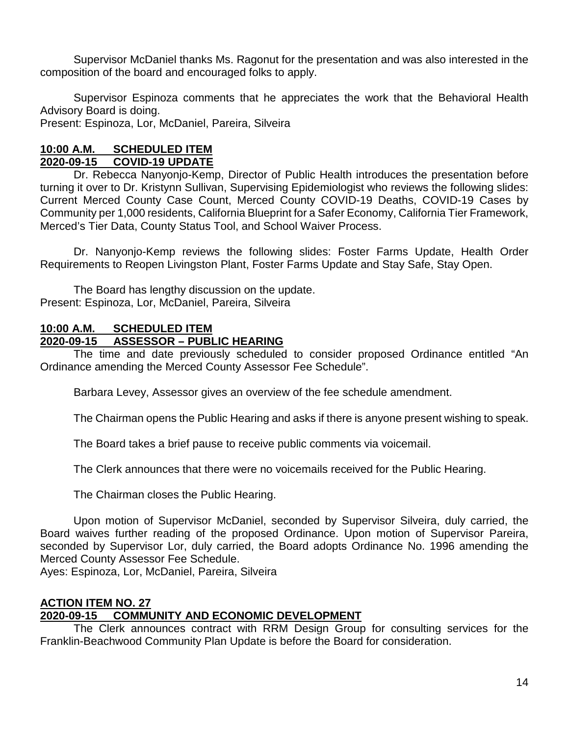Supervisor McDaniel thanks Ms. Ragonut for the presentation and was also interested in the composition of the board and encouraged folks to apply.

Supervisor Espinoza comments that he appreciates the work that the Behavioral Health Advisory Board is doing.

Present: Espinoza, Lor, McDaniel, Pareira, Silveira

### **10:00 A.M. SCHEDULED ITEM 2020-09-15 COVID-19 UPDATE**

Dr. Rebecca Nanyonjo-Kemp, Director of Public Health introduces the presentation before turning it over to Dr. Kristynn Sullivan, Supervising Epidemiologist who reviews the following slides: Current Merced County Case Count, Merced County COVID-19 Deaths, COVID-19 Cases by Community per 1,000 residents, California Blueprint for a Safer Economy, California Tier Framework, Merced's Tier Data, County Status Tool, and School Waiver Process.

Dr. Nanyonjo-Kemp reviews the following slides: Foster Farms Update, Health Order Requirements to Reopen Livingston Plant, Foster Farms Update and Stay Safe, Stay Open.

The Board has lengthy discussion on the update. Present: Espinoza, Lor, McDaniel, Pareira, Silveira

### **10:00 A.M. SCHEDULED ITEM 2020-09-15 ASSESSOR – PUBLIC HEARING**

The time and date previously scheduled to consider proposed Ordinance entitled "An Ordinance amending the Merced County Assessor Fee Schedule".

Barbara Levey, Assessor gives an overview of the fee schedule amendment.

The Chairman opens the Public Hearing and asks if there is anyone present wishing to speak.

The Board takes a brief pause to receive public comments via voicemail.

The Clerk announces that there were no voicemails received for the Public Hearing.

The Chairman closes the Public Hearing.

Upon motion of Supervisor McDaniel, seconded by Supervisor Silveira, duly carried, the Board waives further reading of the proposed Ordinance. Upon motion of Supervisor Pareira, seconded by Supervisor Lor, duly carried, the Board adopts Ordinance No. 1996 amending the Merced County Assessor Fee Schedule.

Ayes: Espinoza, Lor, McDaniel, Pareira, Silveira

### **ACTION ITEM NO. 27 2020-09-15 COMMUNITY AND ECONOMIC DEVELOPMENT**

The Clerk announces contract with RRM Design Group for consulting services for the Franklin-Beachwood Community Plan Update is before the Board for consideration.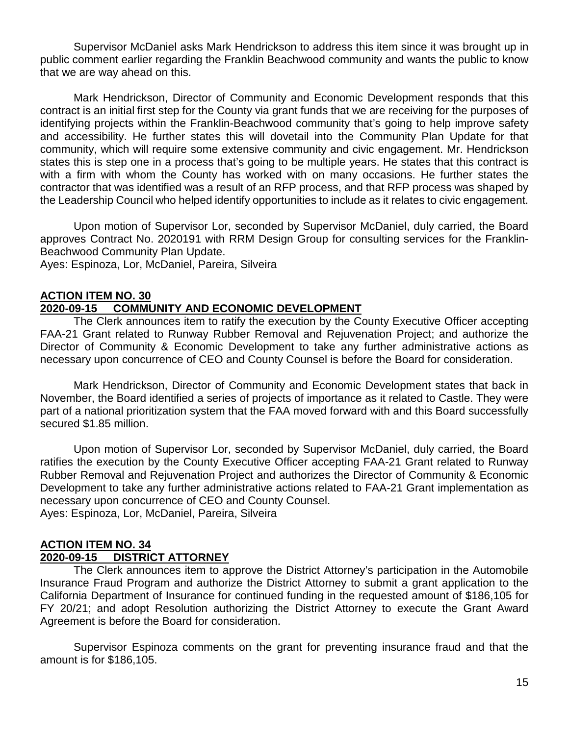Supervisor McDaniel asks Mark Hendrickson to address this item since it was brought up in public comment earlier regarding the Franklin Beachwood community and wants the public to know that we are way ahead on this.

Mark Hendrickson, Director of Community and Economic Development responds that this contract is an initial first step for the County via grant funds that we are receiving for the purposes of identifying projects within the Franklin-Beachwood community that's going to help improve safety and accessibility. He further states this will dovetail into the Community Plan Update for that community, which will require some extensive community and civic engagement. Mr. Hendrickson states this is step one in a process that's going to be multiple years. He states that this contract is with a firm with whom the County has worked with on many occasions. He further states the contractor that was identified was a result of an RFP process, and that RFP process was shaped by the Leadership Council who helped identify opportunities to include as it relates to civic engagement.

Upon motion of Supervisor Lor, seconded by Supervisor McDaniel, duly carried, the Board approves Contract No. 2020191 with RRM Design Group for consulting services for the Franklin-Beachwood Community Plan Update.

Ayes: Espinoza, Lor, McDaniel, Pareira, Silveira

#### **ACTION ITEM NO. 30 2020-09-15 COMMUNITY AND ECONOMIC DEVELOPMENT**

The Clerk announces item to ratify the execution by the County Executive Officer accepting FAA-21 Grant related to Runway Rubber Removal and Rejuvenation Project; and authorize the Director of Community & Economic Development to take any further administrative actions as necessary upon concurrence of CEO and County Counsel is before the Board for consideration.

Mark Hendrickson, Director of Community and Economic Development states that back in November, the Board identified a series of projects of importance as it related to Castle. They were part of a national prioritization system that the FAA moved forward with and this Board successfully secured \$1.85 million.

Upon motion of Supervisor Lor, seconded by Supervisor McDaniel, duly carried, the Board ratifies the execution by the County Executive Officer accepting FAA-21 Grant related to Runway Rubber Removal and Rejuvenation Project and authorizes the Director of Community & Economic Development to take any further administrative actions related to FAA-21 Grant implementation as necessary upon concurrence of CEO and County Counsel. Ayes: Espinoza, Lor, McDaniel, Pareira, Silveira

### **ACTION ITEM NO. 34**

### **2020-09-15 DISTRICT ATTORNEY**

The Clerk announces item to approve the District Attorney's participation in the Automobile Insurance Fraud Program and authorize the District Attorney to submit a grant application to the California Department of Insurance for continued funding in the requested amount of \$186,105 for FY 20/21; and adopt Resolution authorizing the District Attorney to execute the Grant Award Agreement is before the Board for consideration.

Supervisor Espinoza comments on the grant for preventing insurance fraud and that the amount is for \$186,105.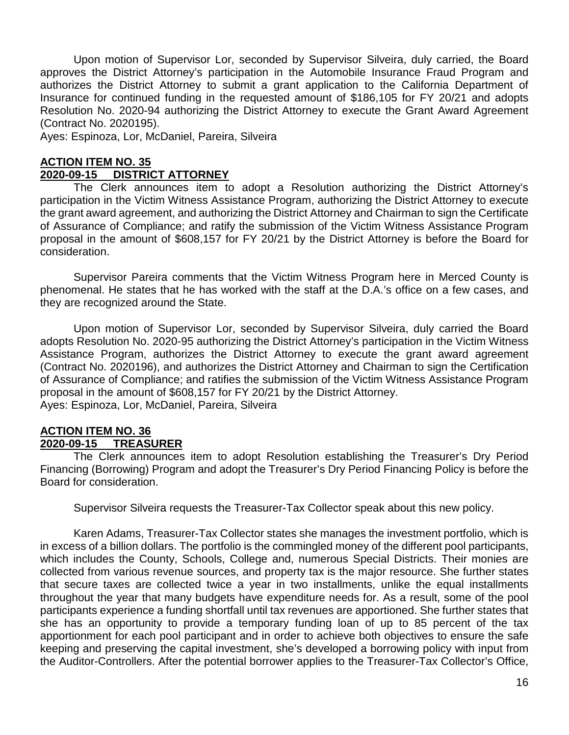Upon motion of Supervisor Lor, seconded by Supervisor Silveira, duly carried, the Board approves the District Attorney's participation in the Automobile Insurance Fraud Program and authorizes the District Attorney to submit a grant application to the California Department of Insurance for continued funding in the requested amount of \$186,105 for FY 20/21 and adopts Resolution No. 2020-94 authorizing the District Attorney to execute the Grant Award Agreement (Contract No. 2020195).

Ayes: Espinoza, Lor, McDaniel, Pareira, Silveira

#### **ACTION ITEM NO. 35 2020-09-15 DISTRICT ATTORNEY**

The Clerk announces item to adopt a Resolution authorizing the District Attorney's participation in the Victim Witness Assistance Program, authorizing the District Attorney to execute the grant award agreement, and authorizing the District Attorney and Chairman to sign the Certificate of Assurance of Compliance; and ratify the submission of the Victim Witness Assistance Program proposal in the amount of \$608,157 for FY 20/21 by the District Attorney is before the Board for consideration.

Supervisor Pareira comments that the Victim Witness Program here in Merced County is phenomenal. He states that he has worked with the staff at the D.A.'s office on a few cases, and they are recognized around the State.

Upon motion of Supervisor Lor, seconded by Supervisor Silveira, duly carried the Board adopts Resolution No. 2020-95 authorizing the District Attorney's participation in the Victim Witness Assistance Program, authorizes the District Attorney to execute the grant award agreement (Contract No. 2020196), and authorizes the District Attorney and Chairman to sign the Certification of Assurance of Compliance; and ratifies the submission of the Victim Witness Assistance Program proposal in the amount of \$608,157 for FY 20/21 by the District Attorney. Ayes: Espinoza, Lor, McDaniel, Pareira, Silveira

#### **ACTION ITEM NO. 36 2020-09-15 TREASURER**

The Clerk announces item to adopt Resolution establishing the Treasurer's Dry Period Financing (Borrowing) Program and adopt the Treasurer's Dry Period Financing Policy is before the Board for consideration.

Supervisor Silveira requests the Treasurer-Tax Collector speak about this new policy.

Karen Adams, Treasurer-Tax Collector states she manages the investment portfolio, which is in excess of a billion dollars. The portfolio is the commingled money of the different pool participants, which includes the County, Schools, College and, numerous Special Districts. Their monies are collected from various revenue sources, and property tax is the major resource. She further states that secure taxes are collected twice a year in two installments, unlike the equal installments throughout the year that many budgets have expenditure needs for. As a result, some of the pool participants experience a funding shortfall until tax revenues are apportioned. She further states that she has an opportunity to provide a temporary funding loan of up to 85 percent of the tax apportionment for each pool participant and in order to achieve both objectives to ensure the safe keeping and preserving the capital investment, she's developed a borrowing policy with input from the Auditor-Controllers. After the potential borrower applies to the Treasurer-Tax Collector's Office,